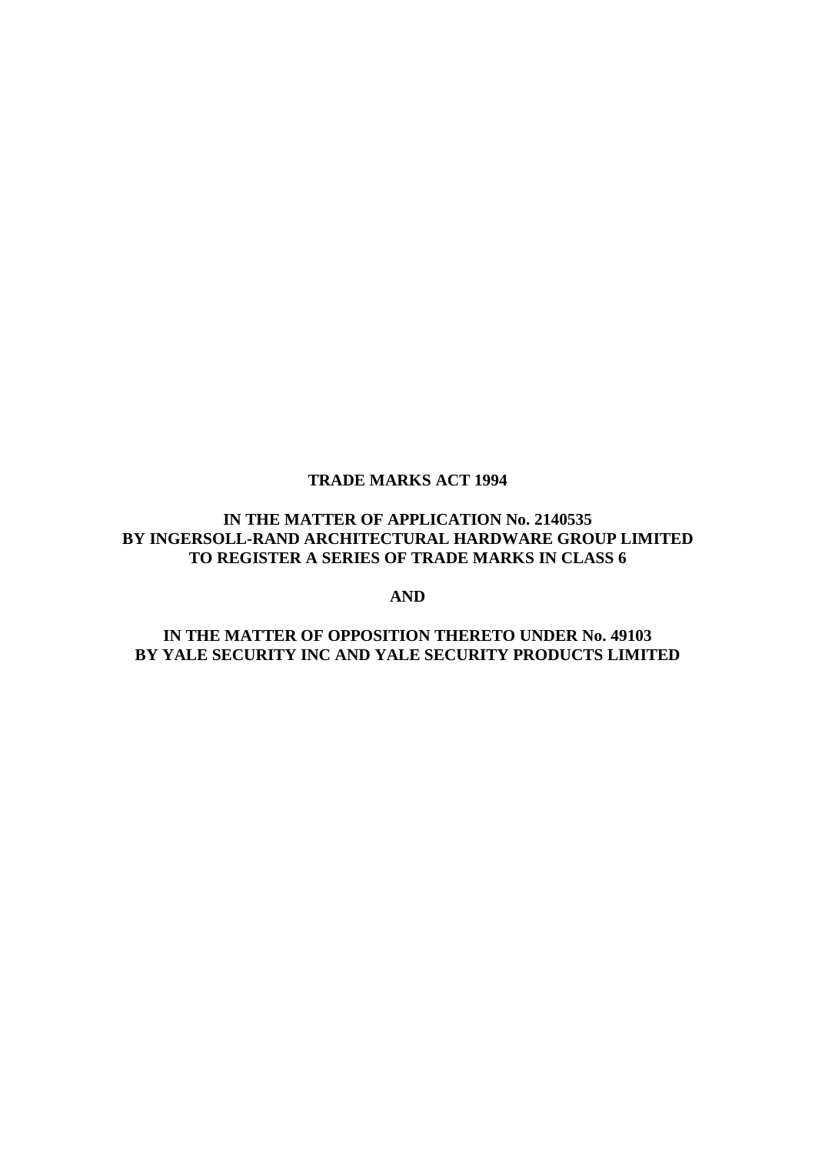## **TRADE MARKS ACT 1994**

# **IN THE MATTER OF APPLICATION No. 2140535 BY INGERSOLL-RAND ARCHITECTURAL HARDWARE GROUP LIMITED TO REGISTER A SERIES OF TRADE MARKS IN CLASS 6**

**AND**

## **IN THE MATTER OF OPPOSITION THERETO UNDER No. 49103 BY YALE SECURITY INC AND YALE SECURITY PRODUCTS LIMITED**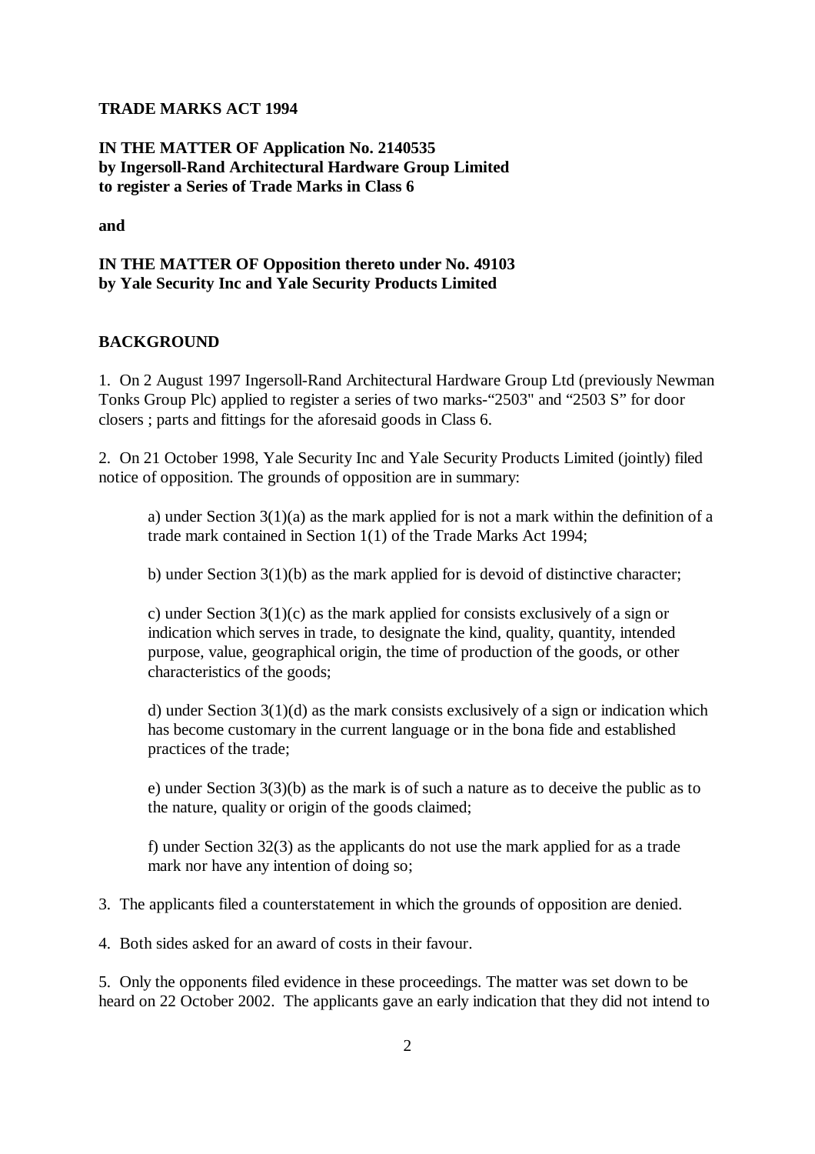#### **TRADE MARKS ACT 1994**

# **IN THE MATTER OF Application No. 2140535 by Ingersoll-Rand Architectural Hardware Group Limited to register a Series of Trade Marks in Class 6**

**and** 

### **IN THE MATTER OF Opposition thereto under No. 49103 by Yale Security Inc and Yale Security Products Limited**

#### **BACKGROUND**

1. On 2 August 1997 Ingersoll-Rand Architectural Hardware Group Ltd (previously Newman Tonks Group Plc) applied to register a series of two marks-"2503" and "2503 S" for door closers ; parts and fittings for the aforesaid goods in Class 6.

2. On 21 October 1998, Yale Security Inc and Yale Security Products Limited (jointly) filed notice of opposition. The grounds of opposition are in summary:

a) under Section 3(1)(a) as the mark applied for is not a mark within the definition of a trade mark contained in Section 1(1) of the Trade Marks Act 1994;

b) under Section 3(1)(b) as the mark applied for is devoid of distinctive character;

c) under Section 3(1)(c) as the mark applied for consists exclusively of a sign or indication which serves in trade, to designate the kind, quality, quantity, intended purpose, value, geographical origin, the time of production of the goods, or other characteristics of the goods;

d) under Section 3(1)(d) as the mark consists exclusively of a sign or indication which has become customary in the current language or in the bona fide and established practices of the trade;

e) under Section 3(3)(b) as the mark is of such a nature as to deceive the public as to the nature, quality or origin of the goods claimed;

f) under Section 32(3) as the applicants do not use the mark applied for as a trade mark nor have any intention of doing so;

3. The applicants filed a counterstatement in which the grounds of opposition are denied.

4. Both sides asked for an award of costs in their favour.

5. Only the opponents filed evidence in these proceedings. The matter was set down to be heard on 22 October 2002. The applicants gave an early indication that they did not intend to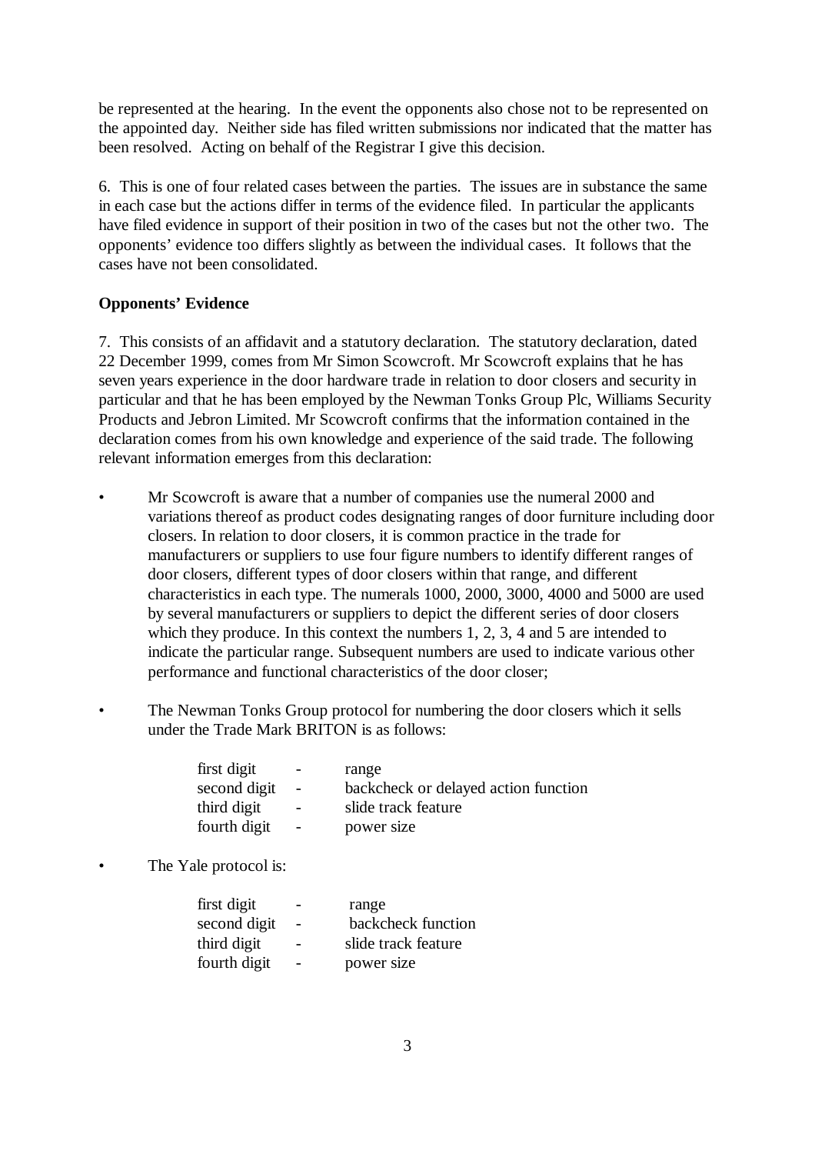be represented at the hearing. In the event the opponents also chose not to be represented on the appointed day. Neither side has filed written submissions nor indicated that the matter has been resolved. Acting on behalf of the Registrar I give this decision.

6. This is one of four related cases between the parties. The issues are in substance the same in each case but the actions differ in terms of the evidence filed. In particular the applicants have filed evidence in support of their position in two of the cases but not the other two. The opponents' evidence too differs slightly as between the individual cases. It follows that the cases have not been consolidated.

## **Opponents' Evidence**

7. This consists of an affidavit and a statutory declaration. The statutory declaration, dated 22 December 1999, comes from Mr Simon Scowcroft. Mr Scowcroft explains that he has seven years experience in the door hardware trade in relation to door closers and security in particular and that he has been employed by the Newman Tonks Group Plc, Williams Security Products and Jebron Limited. Mr Scowcroft confirms that the information contained in the declaration comes from his own knowledge and experience of the said trade. The following relevant information emerges from this declaration:

- Mr Scowcroft is aware that a number of companies use the numeral 2000 and variations thereof as product codes designating ranges of door furniture including door closers. In relation to door closers, it is common practice in the trade for manufacturers or suppliers to use four figure numbers to identify different ranges of door closers, different types of door closers within that range, and different characteristics in each type. The numerals 1000, 2000, 3000, 4000 and 5000 are used by several manufacturers or suppliers to depict the different series of door closers which they produce. In this context the numbers 1, 2, 3, 4 and 5 are intended to indicate the particular range. Subsequent numbers are used to indicate various other performance and functional characteristics of the door closer;
- The Newman Tonks Group protocol for numbering the door closers which it sells under the Trade Mark BRITON is as follows:

| first digit<br>second digit | $\overline{\phantom{0}}$<br>$\overline{a}$ | range<br>backcheck or delayed action function |
|-----------------------------|--------------------------------------------|-----------------------------------------------|
| third digit                 | $\overline{\phantom{0}}$                   | slide track feature                           |
| fourth digit                | $\overline{\phantom{a}}$                   | power size                                    |

The Yale protocol is:

| first digit  | range               |
|--------------|---------------------|
| second digit | backcheck function  |
| third digit  | slide track feature |
| fourth digit | power size          |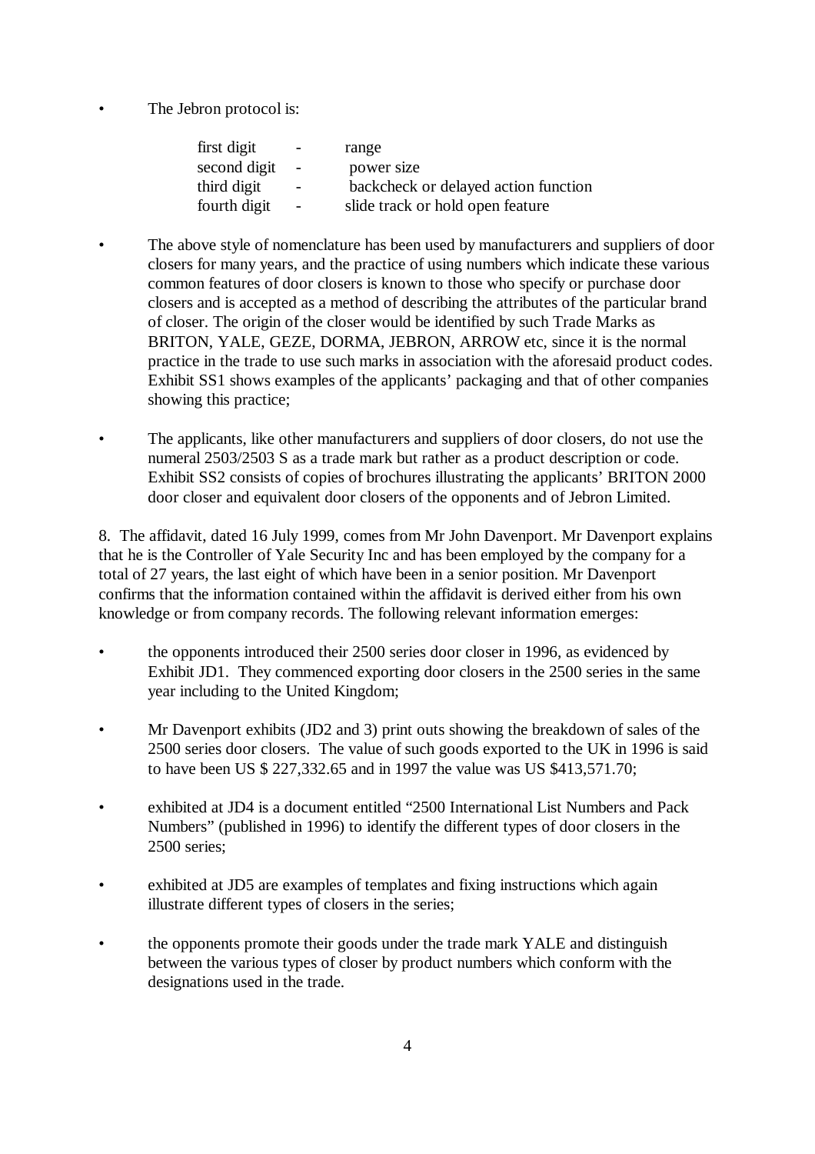The Jebron protocol is:

| range                                |
|--------------------------------------|
| power size                           |
| backcheck or delayed action function |
| slide track or hold open feature     |
|                                      |

- The above style of nomenclature has been used by manufacturers and suppliers of door closers for many years, and the practice of using numbers which indicate these various common features of door closers is known to those who specify or purchase door closers and is accepted as a method of describing the attributes of the particular brand of closer. The origin of the closer would be identified by such Trade Marks as BRITON, YALE, GEZE, DORMA, JEBRON, ARROW etc, since it is the normal practice in the trade to use such marks in association with the aforesaid product codes. Exhibit SS1 shows examples of the applicants' packaging and that of other companies showing this practice;
- The applicants, like other manufacturers and suppliers of door closers, do not use the numeral 2503/2503 S as a trade mark but rather as a product description or code. Exhibit SS2 consists of copies of brochures illustrating the applicants' BRITON 2000 door closer and equivalent door closers of the opponents and of Jebron Limited.

8. The affidavit, dated 16 July 1999, comes from Mr John Davenport. Mr Davenport explains that he is the Controller of Yale Security Inc and has been employed by the company for a total of 27 years, the last eight of which have been in a senior position. Mr Davenport confirms that the information contained within the affidavit is derived either from his own knowledge or from company records. The following relevant information emerges:

- the opponents introduced their 2500 series door closer in 1996, as evidenced by Exhibit JD1. They commenced exporting door closers in the 2500 series in the same year including to the United Kingdom;
- Mr Davenport exhibits (JD2 and 3) print outs showing the breakdown of sales of the 2500 series door closers. The value of such goods exported to the UK in 1996 is said to have been US \$ 227,332.65 and in 1997 the value was US \$413,571.70;
- exhibited at JD4 is a document entitled "2500 International List Numbers and Pack Numbers" (published in 1996) to identify the different types of door closers in the 2500 series;
- exhibited at JD5 are examples of templates and fixing instructions which again illustrate different types of closers in the series;
- the opponents promote their goods under the trade mark YALE and distinguish between the various types of closer by product numbers which conform with the designations used in the trade.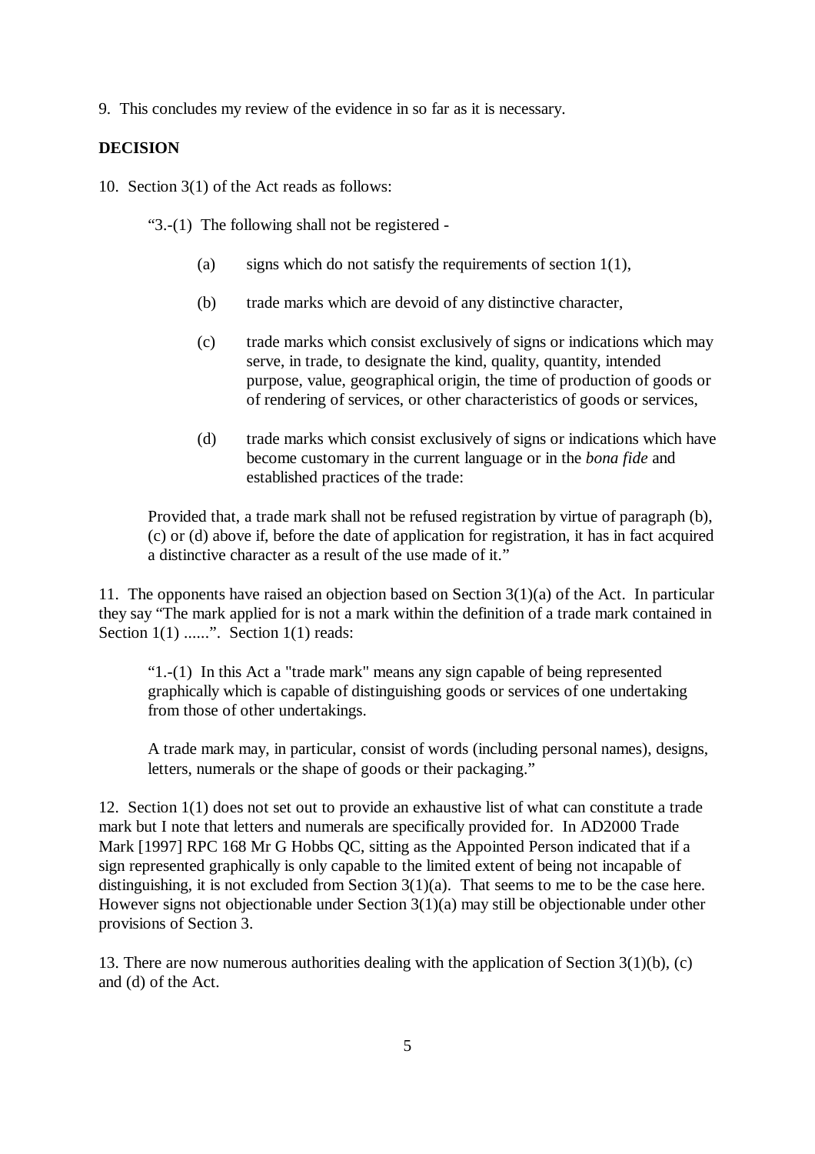9. This concludes my review of the evidence in so far as it is necessary.

#### **DECISION**

10. Section 3(1) of the Act reads as follows:

"3.-(1) The following shall not be registered -

- (a) signs which do not satisfy the requirements of section  $1(1)$ ,
- (b) trade marks which are devoid of any distinctive character,
- (c) trade marks which consist exclusively of signs or indications which may serve, in trade, to designate the kind, quality, quantity, intended purpose, value, geographical origin, the time of production of goods or of rendering of services, or other characteristics of goods or services,
- (d) trade marks which consist exclusively of signs or indications which have become customary in the current language or in the *bona fide* and established practices of the trade:

Provided that, a trade mark shall not be refused registration by virtue of paragraph (b), (c) or (d) above if, before the date of application for registration, it has in fact acquired a distinctive character as a result of the use made of it."

11. The opponents have raised an objection based on Section 3(1)(a) of the Act. In particular they say "The mark applied for is not a mark within the definition of a trade mark contained in Section  $1(1)$  ......". Section  $1(1)$  reads:

"1.-(1) In this Act a "trade mark" means any sign capable of being represented graphically which is capable of distinguishing goods or services of one undertaking from those of other undertakings.

A trade mark may, in particular, consist of words (including personal names), designs, letters, numerals or the shape of goods or their packaging."

12. Section 1(1) does not set out to provide an exhaustive list of what can constitute a trade mark but I note that letters and numerals are specifically provided for. In AD2000 Trade Mark [1997] RPC 168 Mr G Hobbs QC, sitting as the Appointed Person indicated that if a sign represented graphically is only capable to the limited extent of being not incapable of distinguishing, it is not excluded from Section 3(1)(a). That seems to me to be the case here. However signs not objectionable under Section 3(1)(a) may still be objectionable under other provisions of Section 3.

13. There are now numerous authorities dealing with the application of Section 3(1)(b), (c) and (d) of the Act.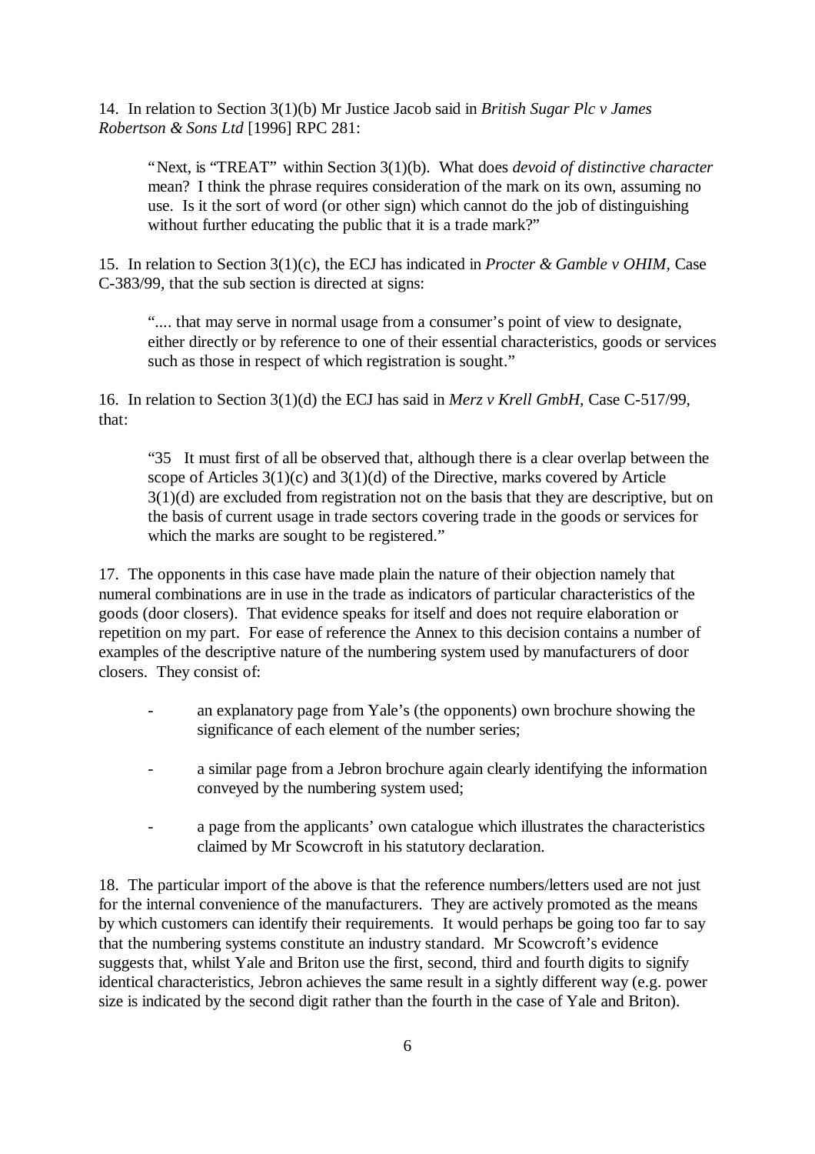14. In relation to Section 3(1)(b) Mr Justice Jacob said in *British Sugar Plc v James Robertson & Sons Ltd* [1996] RPC 281:

"Next, is "TREAT" within Section 3(1)(b). What does *devoid of distinctive character* mean? I think the phrase requires consideration of the mark on its own, assuming no use. Is it the sort of word (or other sign) which cannot do the job of distinguishing without further educating the public that it is a trade mark?"

15. In relation to Section 3(1)(c), the ECJ has indicated in *Procter & Gamble v OHIM,* Case C-383/99, that the sub section is directed at signs:

".... that may serve in normal usage from a consumer's point of view to designate, either directly or by reference to one of their essential characteristics, goods or services such as those in respect of which registration is sought."

16. In relation to Section 3(1)(d) the ECJ has said in *Merz v Krell GmbH,* Case C-517/99, that:

"35 It must first of all be observed that, although there is a clear overlap between the scope of Articles  $3(1)(c)$  and  $3(1)(d)$  of the Directive, marks covered by Article 3(1)(d) are excluded from registration not on the basis that they are descriptive, but on the basis of current usage in trade sectors covering trade in the goods or services for which the marks are sought to be registered."

17. The opponents in this case have made plain the nature of their objection namely that numeral combinations are in use in the trade as indicators of particular characteristics of the goods (door closers). That evidence speaks for itself and does not require elaboration or repetition on my part. For ease of reference the Annex to this decision contains a number of examples of the descriptive nature of the numbering system used by manufacturers of door closers. They consist of:

- an explanatory page from Yale's (the opponents) own brochure showing the significance of each element of the number series;
- a similar page from a Jebron brochure again clearly identifying the information conveyed by the numbering system used;
- a page from the applicants' own catalogue which illustrates the characteristics claimed by Mr Scowcroft in his statutory declaration.

18. The particular import of the above is that the reference numbers/letters used are not just for the internal convenience of the manufacturers. They are actively promoted as the means by which customers can identify their requirements. It would perhaps be going too far to say that the numbering systems constitute an industry standard. Mr Scowcroft's evidence suggests that, whilst Yale and Briton use the first, second, third and fourth digits to signify identical characteristics, Jebron achieves the same result in a sightly different way (e.g. power size is indicated by the second digit rather than the fourth in the case of Yale and Briton).